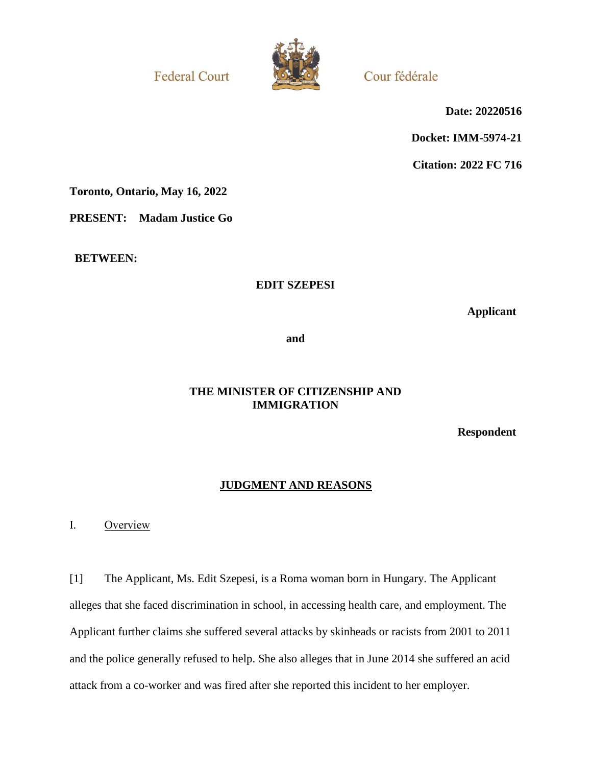**Federal Court** 



Cour fédérale

**Date: 20220516**

**Docket: IMM-5974-21**

**Citation: 2022 FC 716**

**Toronto, Ontario, May 16, 2022**

**PRESENT: Madam Justice Go**

**BETWEEN:**

## **EDIT SZEPESI**

**Applicant**

**and**

## **THE MINISTER OF CITIZENSHIP AND IMMIGRATION**

**Respondent**

## **JUDGMENT AND REASONS**

I. Overview

[1] The Applicant, Ms. Edit Szepesi, is a Roma woman born in Hungary. The Applicant alleges that she faced discrimination in school, in accessing health care, and employment. The Applicant further claims she suffered several attacks by skinheads or racists from 2001 to 2011 and the police generally refused to help. She also alleges that in June 2014 she suffered an acid attack from a co-worker and was fired after she reported this incident to her employer.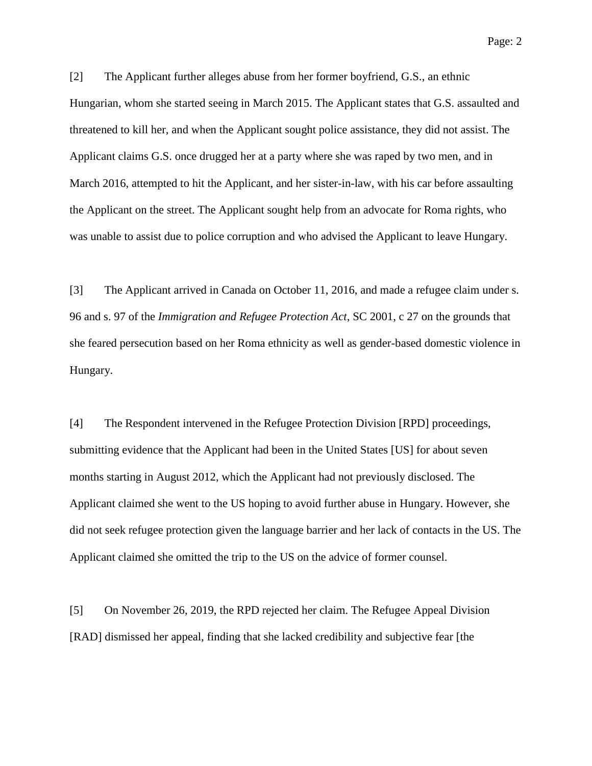Page: 2

[2] The Applicant further alleges abuse from her former boyfriend, G.S., an ethnic Hungarian, whom she started seeing in March 2015. The Applicant states that G.S. assaulted and threatened to kill her, and when the Applicant sought police assistance, they did not assist. The Applicant claims G.S. once drugged her at a party where she was raped by two men, and in March 2016, attempted to hit the Applicant, and her sister-in-law, with his car before assaulting the Applicant on the street. The Applicant sought help from an advocate for Roma rights, who was unable to assist due to police corruption and who advised the Applicant to leave Hungary.

[3] The Applicant arrived in Canada on October 11, 2016, and made a refugee claim under s. 96 and s. 97 of the *Immigration and Refugee Protection Act*, SC 2001, c 27 on the grounds that she feared persecution based on her Roma ethnicity as well as gender-based domestic violence in Hungary.

[4] The Respondent intervened in the Refugee Protection Division [RPD] proceedings, submitting evidence that the Applicant had been in the United States [US] for about seven months starting in August 2012, which the Applicant had not previously disclosed. The Applicant claimed she went to the US hoping to avoid further abuse in Hungary. However, she did not seek refugee protection given the language barrier and her lack of contacts in the US. The Applicant claimed she omitted the trip to the US on the advice of former counsel.

[5] On November 26, 2019, the RPD rejected her claim. The Refugee Appeal Division [RAD] dismissed her appeal, finding that she lacked credibility and subjective fear [the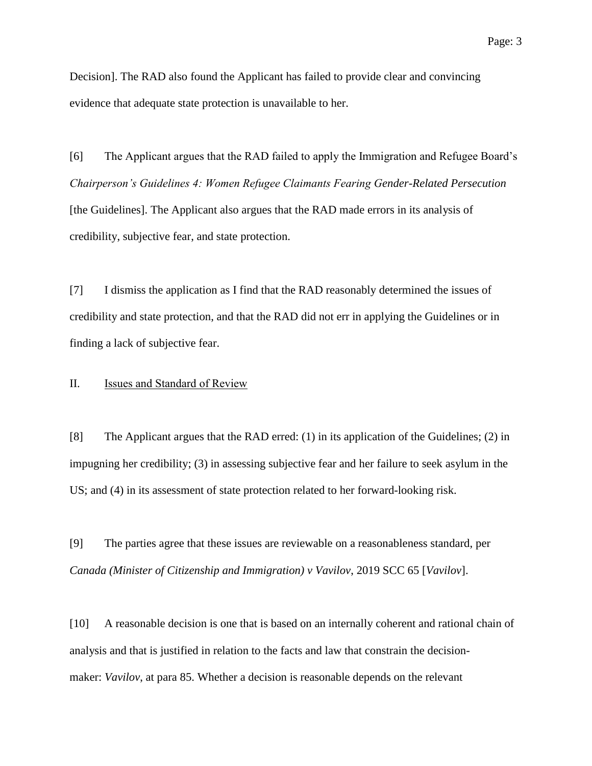Decision]. The RAD also found the Applicant has failed to provide clear and convincing evidence that adequate state protection is unavailable to her.

[6] The Applicant argues that the RAD failed to apply the Immigration and Refugee Board's *Chairperson's Guidelines 4: Women Refugee Claimants Fearing Gender-Related Persecution* [the Guidelines]. The Applicant also argues that the RAD made errors in its analysis of credibility, subjective fear, and state protection.

[7] I dismiss the application as I find that the RAD reasonably determined the issues of credibility and state protection, and that the RAD did not err in applying the Guidelines or in finding a lack of subjective fear.

### II. **Issues and Standard of Review**

[8] The Applicant argues that the RAD erred: (1) in its application of the Guidelines; (2) in impugning her credibility; (3) in assessing subjective fear and her failure to seek asylum in the US; and (4) in its assessment of state protection related to her forward-looking risk.

[9] The parties agree that these issues are reviewable on a reasonableness standard, per *Canada (Minister of Citizenship and Immigration) v Vavilov*, 2019 SCC 65 [*Vavilov*].

[10] A reasonable decision is one that is based on an internally coherent and rational chain of analysis and that is justified in relation to the facts and law that constrain the decisionmaker: *Vavilov*, at para 85. Whether a decision is reasonable depends on the relevant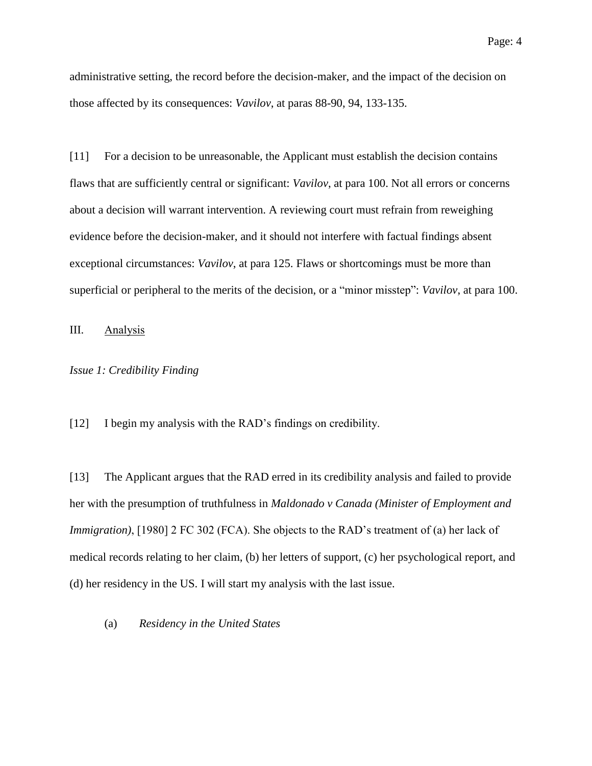administrative setting, the record before the decision-maker, and the impact of the decision on those affected by its consequences: *Vavilov*, at paras 88-90, 94, 133-135.

[11] For a decision to be unreasonable, the Applicant must establish the decision contains flaws that are sufficiently central or significant: *Vavilov*, at para 100. Not all errors or concerns about a decision will warrant intervention. A reviewing court must refrain from reweighing evidence before the decision-maker, and it should not interfere with factual findings absent exceptional circumstances: *Vavilov*, at para 125. Flaws or shortcomings must be more than superficial or peripheral to the merits of the decision, or a "minor misstep": *Vavilov*, at para 100.

III. Analysis

#### *Issue 1: Credibility Finding*

[12] I begin my analysis with the RAD's findings on credibility.

[13] The Applicant argues that the RAD erred in its credibility analysis and failed to provide her with the presumption of truthfulness in *Maldonado v Canada (Minister of Employment and Immigration*), [1980] 2 FC 302 (FCA). She objects to the RAD's treatment of (a) her lack of medical records relating to her claim, (b) her letters of support, (c) her psychological report, and (d) her residency in the US. I will start my analysis with the last issue.

(a) *Residency in the United States*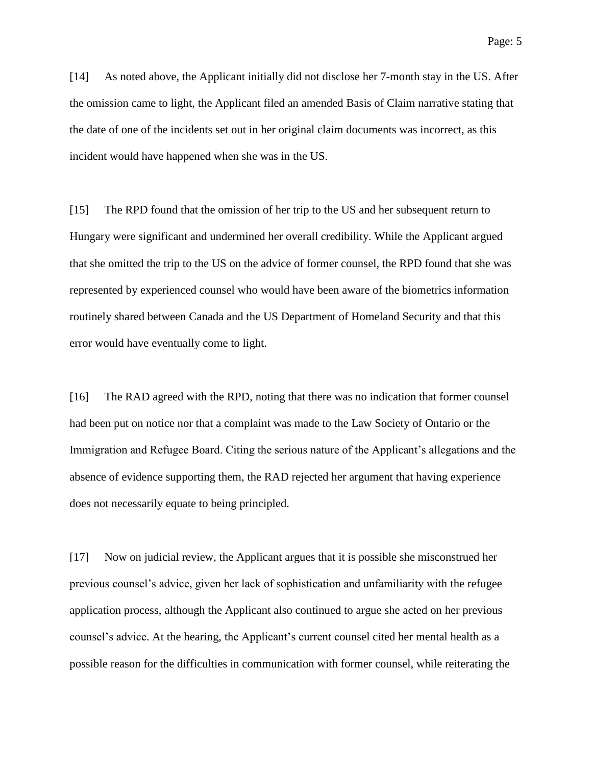[14] As noted above, the Applicant initially did not disclose her 7-month stay in the US. After the omission came to light, the Applicant filed an amended Basis of Claim narrative stating that the date of one of the incidents set out in her original claim documents was incorrect, as this incident would have happened when she was in the US.

[15] The RPD found that the omission of her trip to the US and her subsequent return to Hungary were significant and undermined her overall credibility. While the Applicant argued that she omitted the trip to the US on the advice of former counsel, the RPD found that she was represented by experienced counsel who would have been aware of the biometrics information routinely shared between Canada and the US Department of Homeland Security and that this error would have eventually come to light.

[16] The RAD agreed with the RPD, noting that there was no indication that former counsel had been put on notice nor that a complaint was made to the Law Society of Ontario or the Immigration and Refugee Board. Citing the serious nature of the Applicant's allegations and the absence of evidence supporting them, the RAD rejected her argument that having experience does not necessarily equate to being principled.

[17] Now on judicial review, the Applicant argues that it is possible she misconstrued her previous counsel's advice, given her lack of sophistication and unfamiliarity with the refugee application process, although the Applicant also continued to argue she acted on her previous counsel's advice. At the hearing, the Applicant's current counsel cited her mental health as a possible reason for the difficulties in communication with former counsel, while reiterating the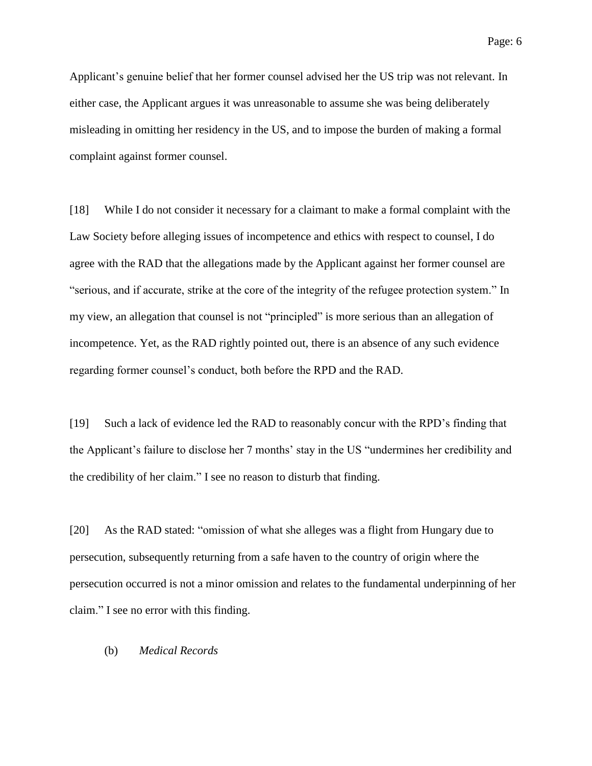Applicant's genuine belief that her former counsel advised her the US trip was not relevant. In either case, the Applicant argues it was unreasonable to assume she was being deliberately misleading in omitting her residency in the US, and to impose the burden of making a formal complaint against former counsel.

[18] While I do not consider it necessary for a claimant to make a formal complaint with the Law Society before alleging issues of incompetence and ethics with respect to counsel, I do agree with the RAD that the allegations made by the Applicant against her former counsel are "serious, and if accurate, strike at the core of the integrity of the refugee protection system." In my view, an allegation that counsel is not "principled" is more serious than an allegation of incompetence. Yet, as the RAD rightly pointed out, there is an absence of any such evidence regarding former counsel's conduct, both before the RPD and the RAD.

[19] Such a lack of evidence led the RAD to reasonably concur with the RPD's finding that the Applicant's failure to disclose her 7 months' stay in the US "undermines her credibility and the credibility of her claim." I see no reason to disturb that finding.

[20] As the RAD stated: "omission of what she alleges was a flight from Hungary due to persecution, subsequently returning from a safe haven to the country of origin where the persecution occurred is not a minor omission and relates to the fundamental underpinning of her claim." I see no error with this finding.

#### (b) *Medical Records*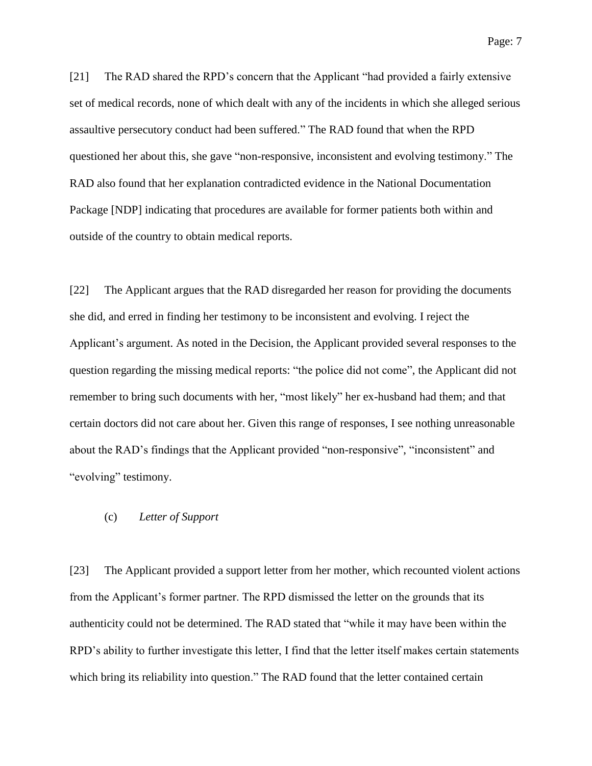[21] The RAD shared the RPD's concern that the Applicant "had provided a fairly extensive set of medical records, none of which dealt with any of the incidents in which she alleged serious assaultive persecutory conduct had been suffered." The RAD found that when the RPD questioned her about this, she gave "non-responsive, inconsistent and evolving testimony." The RAD also found that her explanation contradicted evidence in the National Documentation Package [NDP] indicating that procedures are available for former patients both within and outside of the country to obtain medical reports.

[22] The Applicant argues that the RAD disregarded her reason for providing the documents she did, and erred in finding her testimony to be inconsistent and evolving. I reject the Applicant's argument. As noted in the Decision, the Applicant provided several responses to the question regarding the missing medical reports: "the police did not come", the Applicant did not remember to bring such documents with her, "most likely" her ex-husband had them; and that certain doctors did not care about her. Given this range of responses, I see nothing unreasonable about the RAD's findings that the Applicant provided "non-responsive", "inconsistent" and "evolving" testimony.

## (c) *Letter of Support*

[23] The Applicant provided a support letter from her mother, which recounted violent actions from the Applicant's former partner. The RPD dismissed the letter on the grounds that its authenticity could not be determined. The RAD stated that "while it may have been within the RPD's ability to further investigate this letter, I find that the letter itself makes certain statements which bring its reliability into question." The RAD found that the letter contained certain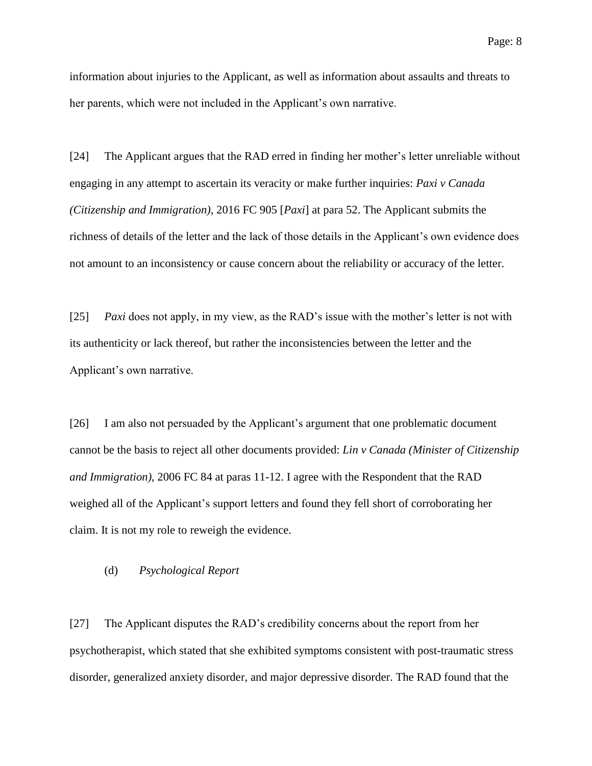information about injuries to the Applicant, as well as information about assaults and threats to her parents, which were not included in the Applicant's own narrative.

[24] The Applicant argues that the RAD erred in finding her mother's letter unreliable without engaging in any attempt to ascertain its veracity or make further inquiries: *Paxi v Canada (Citizenship and Immigration)*, 2016 FC 905 [*Paxi*] at para 52. The Applicant submits the richness of details of the letter and the lack of those details in the Applicant's own evidence does not amount to an inconsistency or cause concern about the reliability or accuracy of the letter.

[25] *Paxi* does not apply, in my view, as the RAD's issue with the mother's letter is not with its authenticity or lack thereof, but rather the inconsistencies between the letter and the Applicant's own narrative.

[26] I am also not persuaded by the Applicant's argument that one problematic document cannot be the basis to reject all other documents provided: *Lin v Canada (Minister of Citizenship and Immigration)*, 2006 FC 84 at paras 11-12. I agree with the Respondent that the RAD weighed all of the Applicant's support letters and found they fell short of corroborating her claim. It is not my role to reweigh the evidence.

### (d) *Psychological Report*

[27] The Applicant disputes the RAD's credibility concerns about the report from her psychotherapist, which stated that she exhibited symptoms consistent with post-traumatic stress disorder, generalized anxiety disorder, and major depressive disorder. The RAD found that the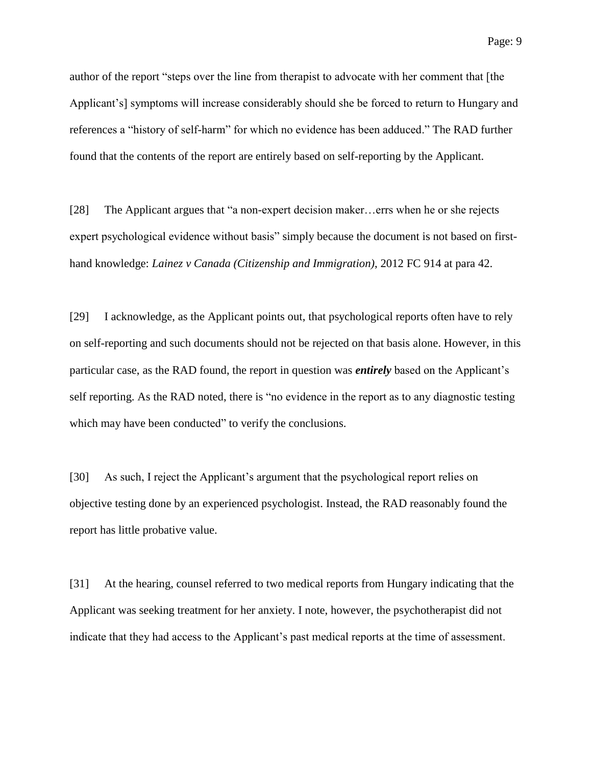author of the report "steps over the line from therapist to advocate with her comment that [the Applicant's] symptoms will increase considerably should she be forced to return to Hungary and references a "history of self-harm" for which no evidence has been adduced." The RAD further found that the contents of the report are entirely based on self-reporting by the Applicant.

[28] The Applicant argues that "a non-expert decision maker…errs when he or she rejects expert psychological evidence without basis" simply because the document is not based on firsthand knowledge: *Lainez v Canada (Citizenship and Immigration)*, 2012 FC 914 at para 42.

[29] I acknowledge, as the Applicant points out, that psychological reports often have to rely on self-reporting and such documents should not be rejected on that basis alone. However, in this particular case, as the RAD found, the report in question was *entirely* based on the Applicant's self reporting. As the RAD noted, there is "no evidence in the report as to any diagnostic testing which may have been conducted" to verify the conclusions.

[30] As such, I reject the Applicant's argument that the psychological report relies on objective testing done by an experienced psychologist. Instead, the RAD reasonably found the report has little probative value.

[31] At the hearing, counsel referred to two medical reports from Hungary indicating that the Applicant was seeking treatment for her anxiety. I note, however, the psychotherapist did not indicate that they had access to the Applicant's past medical reports at the time of assessment.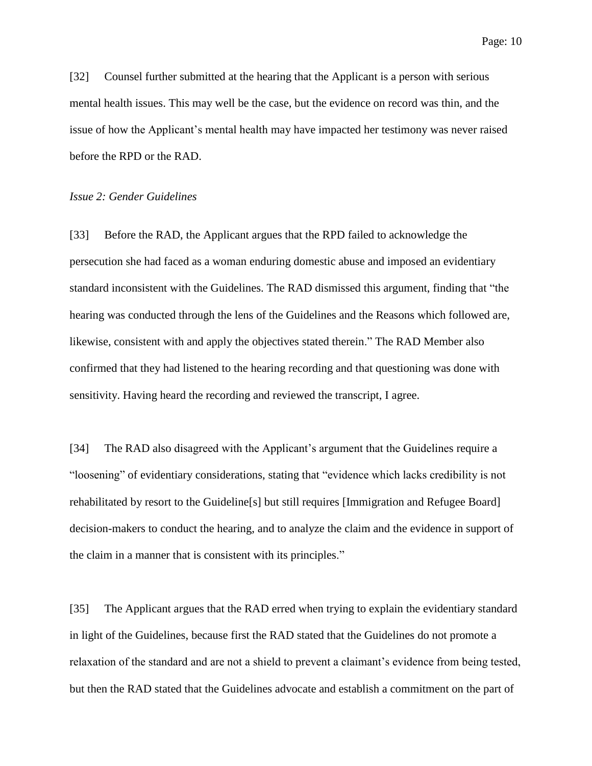Page: 10

[32] Counsel further submitted at the hearing that the Applicant is a person with serious mental health issues. This may well be the case, but the evidence on record was thin, and the issue of how the Applicant's mental health may have impacted her testimony was never raised before the RPD or the RAD.

### *Issue 2: Gender Guidelines*

[33] Before the RAD, the Applicant argues that the RPD failed to acknowledge the persecution she had faced as a woman enduring domestic abuse and imposed an evidentiary standard inconsistent with the Guidelines. The RAD dismissed this argument, finding that "the hearing was conducted through the lens of the Guidelines and the Reasons which followed are, likewise, consistent with and apply the objectives stated therein." The RAD Member also confirmed that they had listened to the hearing recording and that questioning was done with sensitivity. Having heard the recording and reviewed the transcript, I agree.

[34] The RAD also disagreed with the Applicant's argument that the Guidelines require a "loosening" of evidentiary considerations, stating that "evidence which lacks credibility is not rehabilitated by resort to the Guideline[s] but still requires [Immigration and Refugee Board] decision-makers to conduct the hearing, and to analyze the claim and the evidence in support of the claim in a manner that is consistent with its principles."

[35] The Applicant argues that the RAD erred when trying to explain the evidentiary standard in light of the Guidelines, because first the RAD stated that the Guidelines do not promote a relaxation of the standard and are not a shield to prevent a claimant's evidence from being tested, but then the RAD stated that the Guidelines advocate and establish a commitment on the part of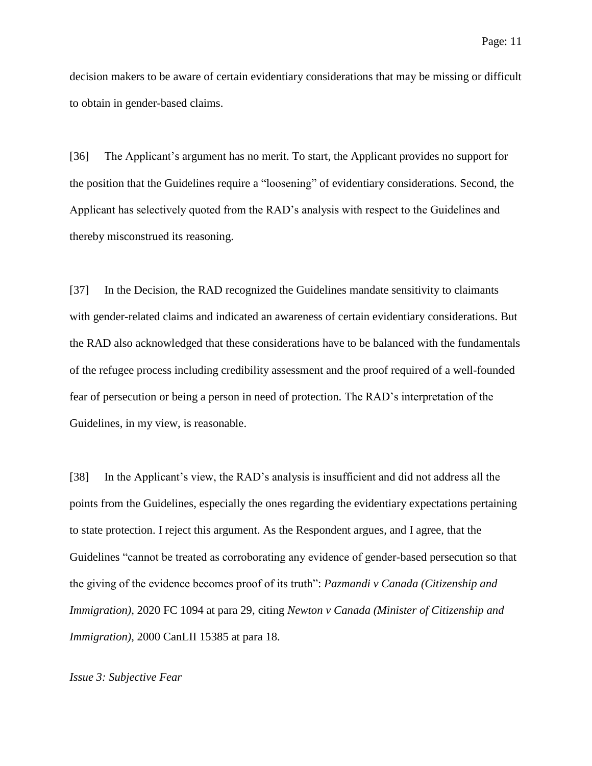decision makers to be aware of certain evidentiary considerations that may be missing or difficult to obtain in gender-based claims.

[36] The Applicant's argument has no merit. To start, the Applicant provides no support for the position that the Guidelines require a "loosening" of evidentiary considerations. Second, the Applicant has selectively quoted from the RAD's analysis with respect to the Guidelines and thereby misconstrued its reasoning.

[37] In the Decision, the RAD recognized the Guidelines mandate sensitivity to claimants with gender-related claims and indicated an awareness of certain evidentiary considerations. But the RAD also acknowledged that these considerations have to be balanced with the fundamentals of the refugee process including credibility assessment and the proof required of a well-founded fear of persecution or being a person in need of protection. The RAD's interpretation of the Guidelines, in my view, is reasonable.

[38] In the Applicant's view, the RAD's analysis is insufficient and did not address all the points from the Guidelines, especially the ones regarding the evidentiary expectations pertaining to state protection. I reject this argument. As the Respondent argues, and I agree, that the Guidelines "cannot be treated as corroborating any evidence of gender-based persecution so that the giving of the evidence becomes proof of its truth": *Pazmandi v Canada (Citizenship and Immigration)*, 2020 FC 1094 at para 29, citing *Newton v Canada (Minister of Citizenship and Immigration)*, 2000 CanLII 15385 at para 18.

### *Issue 3: Subjective Fear*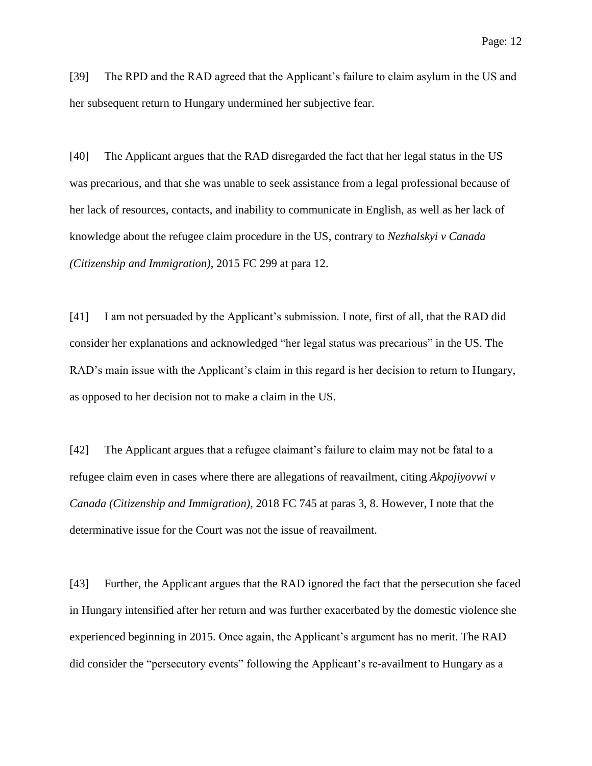[39] The RPD and the RAD agreed that the Applicant's failure to claim asylum in the US and her subsequent return to Hungary undermined her subjective fear.

[40] The Applicant argues that the RAD disregarded the fact that her legal status in the US was precarious, and that she was unable to seek assistance from a legal professional because of her lack of resources, contacts, and inability to communicate in English, as well as her lack of knowledge about the refugee claim procedure in the US, contrary to *Nezhalskyi v Canada (Citizenship and Immigration)*, 2015 FC 299 at para 12.

[41] I am not persuaded by the Applicant's submission. I note, first of all, that the RAD did consider her explanations and acknowledged "her legal status was precarious" in the US. The RAD's main issue with the Applicant's claim in this regard is her decision to return to Hungary, as opposed to her decision not to make a claim in the US.

[42] The Applicant argues that a refugee claimant's failure to claim may not be fatal to a refugee claim even in cases where there are allegations of reavailment, citing *Akpojiyovwi v Canada (Citizenship and Immigration)*, 2018 FC 745 at paras 3, 8. However, I note that the determinative issue for the Court was not the issue of reavailment.

[43] Further, the Applicant argues that the RAD ignored the fact that the persecution she faced in Hungary intensified after her return and was further exacerbated by the domestic violence she experienced beginning in 2015. Once again, the Applicant's argument has no merit. The RAD did consider the "persecutory events" following the Applicant's re-availment to Hungary as a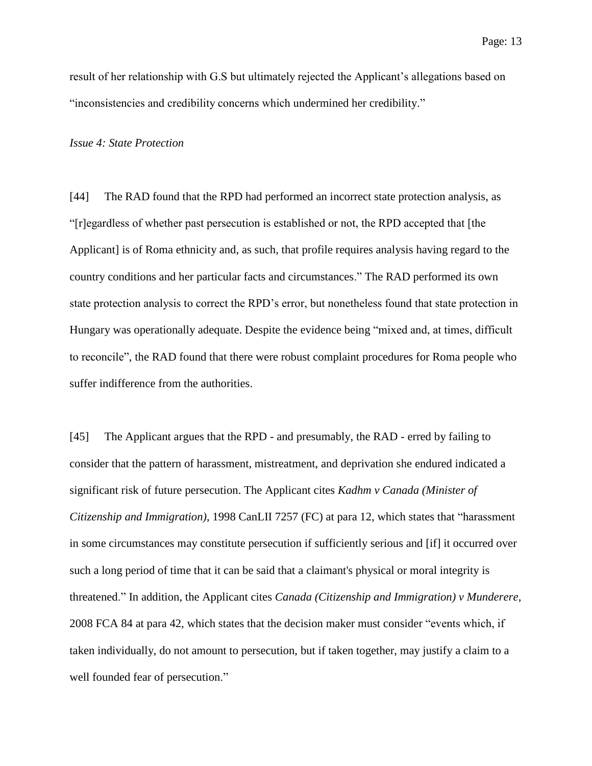result of her relationship with G.S but ultimately rejected the Applicant's allegations based on "inconsistencies and credibility concerns which undermined her credibility."

*Issue 4: State Protection*

[44] The RAD found that the RPD had performed an incorrect state protection analysis, as "[r]egardless of whether past persecution is established or not, the RPD accepted that [the Applicant] is of Roma ethnicity and, as such, that profile requires analysis having regard to the country conditions and her particular facts and circumstances." The RAD performed its own state protection analysis to correct the RPD's error, but nonetheless found that state protection in Hungary was operationally adequate. Despite the evidence being "mixed and, at times, difficult to reconcile", the RAD found that there were robust complaint procedures for Roma people who suffer indifference from the authorities.

[45] The Applicant argues that the RPD - and presumably, the RAD - erred by failing to consider that the pattern of harassment, mistreatment, and deprivation she endured indicated a significant risk of future persecution. The Applicant cites *Kadhm v Canada (Minister of Citizenship and Immigration)*, 1998 CanLII 7257 (FC) at para 12, which states that "harassment in some circumstances may constitute persecution if sufficiently serious and [if] it occurred over such a long period of time that it can be said that a claimant's physical or moral integrity is threatened." In addition, the Applicant cites *Canada (Citizenship and Immigration) v Munderere*, 2008 FCA 84 at para 42, which states that the decision maker must consider "events which, if taken individually, do not amount to persecution, but if taken together, may justify a claim to a well founded fear of persecution."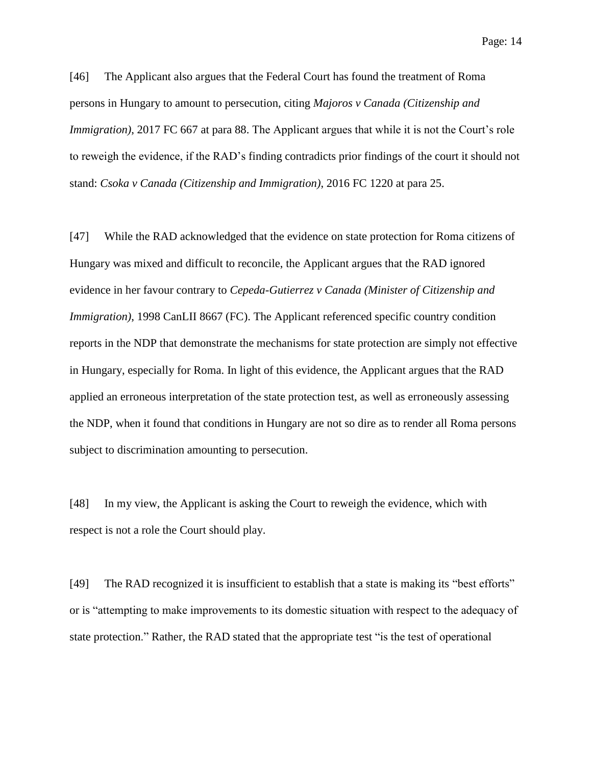[46] The Applicant also argues that the Federal Court has found the treatment of Roma persons in Hungary to amount to persecution, citing *Majoros v Canada (Citizenship and Immigration*), 2017 FC 667 at para 88. The Applicant argues that while it is not the Court's role to reweigh the evidence, if the RAD's finding contradicts prior findings of the court it should not stand: *Csoka v Canada (Citizenship and Immigration)*, 2016 FC 1220 at para 25.

[47] While the RAD acknowledged that the evidence on state protection for Roma citizens of Hungary was mixed and difficult to reconcile, the Applicant argues that the RAD ignored evidence in her favour contrary to *Cepeda-Gutierrez v Canada (Minister of Citizenship and Immigration*), 1998 CanLII 8667 (FC). The Applicant referenced specific country condition reports in the NDP that demonstrate the mechanisms for state protection are simply not effective in Hungary, especially for Roma. In light of this evidence, the Applicant argues that the RAD applied an erroneous interpretation of the state protection test, as well as erroneously assessing the NDP, when it found that conditions in Hungary are not so dire as to render all Roma persons subject to discrimination amounting to persecution.

[48] In my view, the Applicant is asking the Court to reweigh the evidence, which with respect is not a role the Court should play.

[49] The RAD recognized it is insufficient to establish that a state is making its "best efforts" or is "attempting to make improvements to its domestic situation with respect to the adequacy of state protection." Rather, the RAD stated that the appropriate test "is the test of operational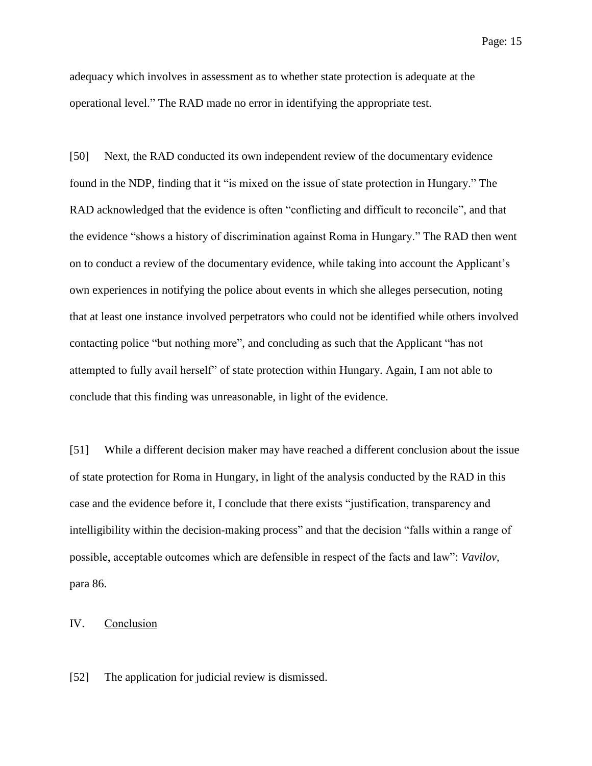adequacy which involves in assessment as to whether state protection is adequate at the operational level." The RAD made no error in identifying the appropriate test.

[50] Next, the RAD conducted its own independent review of the documentary evidence found in the NDP, finding that it "is mixed on the issue of state protection in Hungary." The RAD acknowledged that the evidence is often "conflicting and difficult to reconcile", and that the evidence "shows a history of discrimination against Roma in Hungary." The RAD then went on to conduct a review of the documentary evidence, while taking into account the Applicant's own experiences in notifying the police about events in which she alleges persecution, noting that at least one instance involved perpetrators who could not be identified while others involved contacting police "but nothing more", and concluding as such that the Applicant "has not attempted to fully avail herself" of state protection within Hungary. Again, I am not able to conclude that this finding was unreasonable, in light of the evidence.

[51] While a different decision maker may have reached a different conclusion about the issue of state protection for Roma in Hungary, in light of the analysis conducted by the RAD in this case and the evidence before it, I conclude that there exists "justification, transparency and intelligibility within the decision-making process" and that the decision "falls within a range of possible, acceptable outcomes which are defensible in respect of the facts and law": *Vavilov*, para 86.

IV. Conclusion

[52] The application for judicial review is dismissed.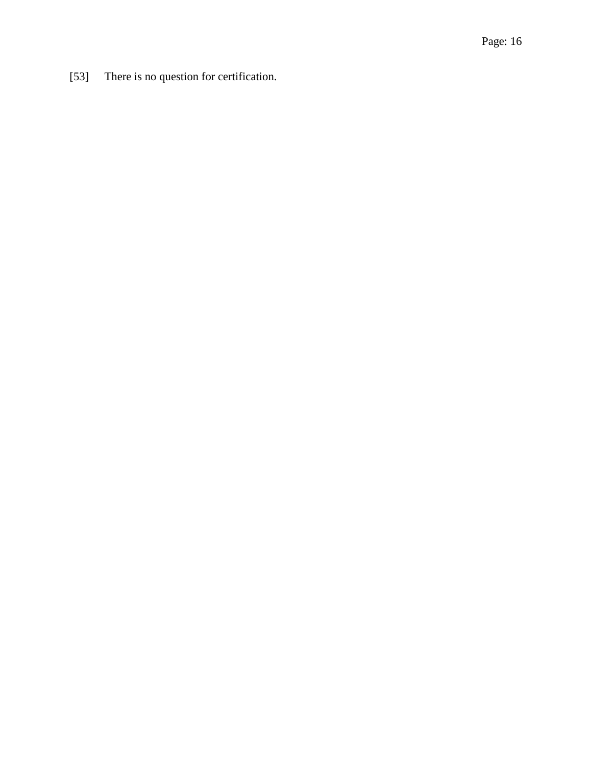[53] There is no question for certification.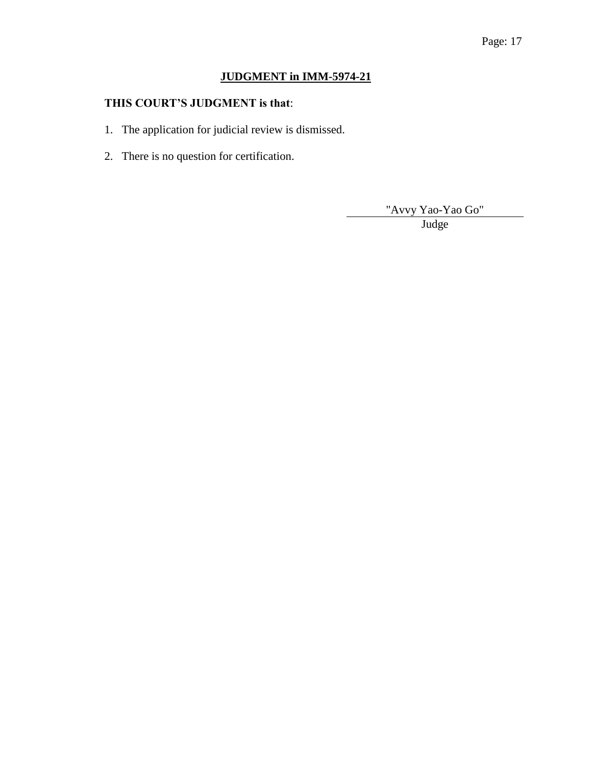# Page: 17

# **JUDGMENT in IMM-5974-21**

## **THIS COURT'S JUDGMENT is that**:

- 1. The application for judicial review is dismissed.
- 2. There is no question for certification.

"Avvy Yao-Yao Go"

Judge